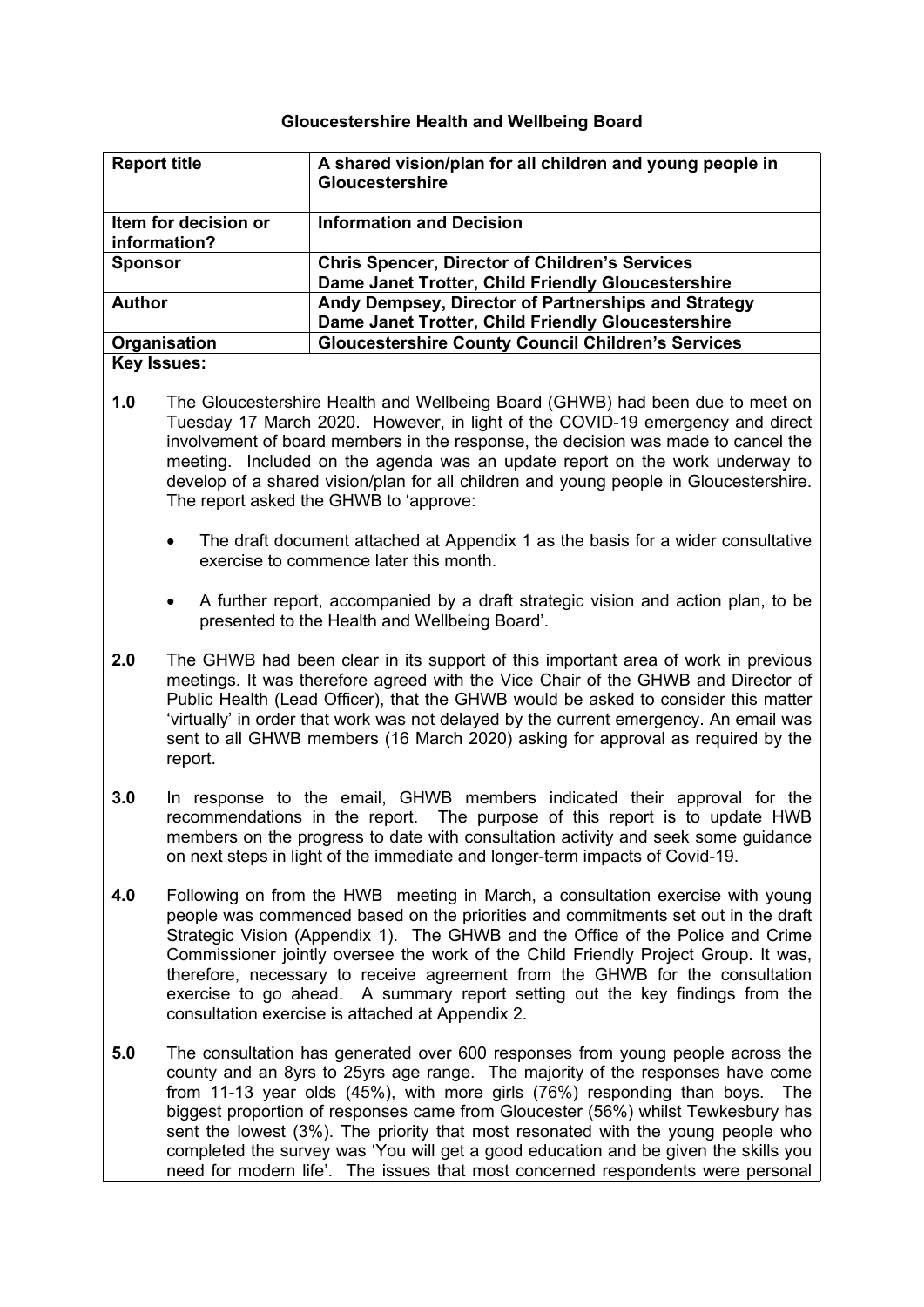## **Gloucestershire Health and Wellbeing Board**

| <b>Report title</b>                  | A shared vision/plan for all children and young people in<br><b>Gloucestershire</b> |
|--------------------------------------|-------------------------------------------------------------------------------------|
| Item for decision or<br>information? | <b>Information and Decision</b>                                                     |
| <b>Sponsor</b>                       | <b>Chris Spencer, Director of Children's Services</b>                               |
|                                      | Dame Janet Trotter, Child Friendly Gloucestershire                                  |
| <b>Author</b>                        | Andy Dempsey, Director of Partnerships and Strategy                                 |
|                                      | Dame Janet Trotter, Child Friendly Gloucestershire                                  |
| Organisation                         | <b>Gloucestershire County Council Children's Services</b>                           |
| <b>Key Issues:</b>                   |                                                                                     |

- **1.0** The Gloucestershire Health and Wellbeing Board (GHWB) had been due to meet on Tuesday 17 March 2020. However, in light of the COVID-19 emergency and direct involvement of board members in the response, the decision was made to cancel the meeting. Included on the agenda was an update report on the work underway to develop of a shared vision/plan for all children and young people in Gloucestershire. The report asked the GHWB to 'approve:
	- The draft document attached at Appendix 1 as the basis for a wider consultative exercise to commence later this month.
	- A further report, accompanied by a draft strategic vision and action plan, to be presented to the Health and Wellbeing Board'.
- **2.0** The GHWB had been clear in its support of this important area of work in previous meetings. It was therefore agreed with the Vice Chair of the GHWB and Director of Public Health (Lead Officer), that the GHWB would be asked to consider this matter 'virtually' in order that work was not delayed by the current emergency. An email was sent to all GHWB members (16 March 2020) asking for approval as required by the report.
- **3.0** In response to the email, GHWB members indicated their approval for the recommendations in the report. The purpose of this report is to update HWB members on the progress to date with consultation activity and seek some guidance on next steps in light of the immediate and longer-term impacts of Covid-19.
- **4.0** Following on from the HWB meeting in March, a consultation exercise with young people was commenced based on the priorities and commitments set out in the draft Strategic Vision (Appendix 1). The GHWB and the Office of the Police and Crime Commissioner jointly oversee the work of the Child Friendly Project Group. It was, therefore, necessary to receive agreement from the GHWB for the consultation exercise to go ahead. A summary report setting out the key findings from the consultation exercise is attached at Appendix 2.
- **5.0** The consultation has generated over 600 responses from young people across the county and an 8yrs to 25yrs age range. The majority of the responses have come from 11-13 year olds (45%), with more girls (76%) responding than boys. The biggest proportion of responses came from Gloucester (56%) whilst Tewkesbury has sent the lowest (3%). The priority that most resonated with the young people who completed the survey was 'You will get a good education and be given the skills you need for modern life'. The issues that most concerned respondents were personal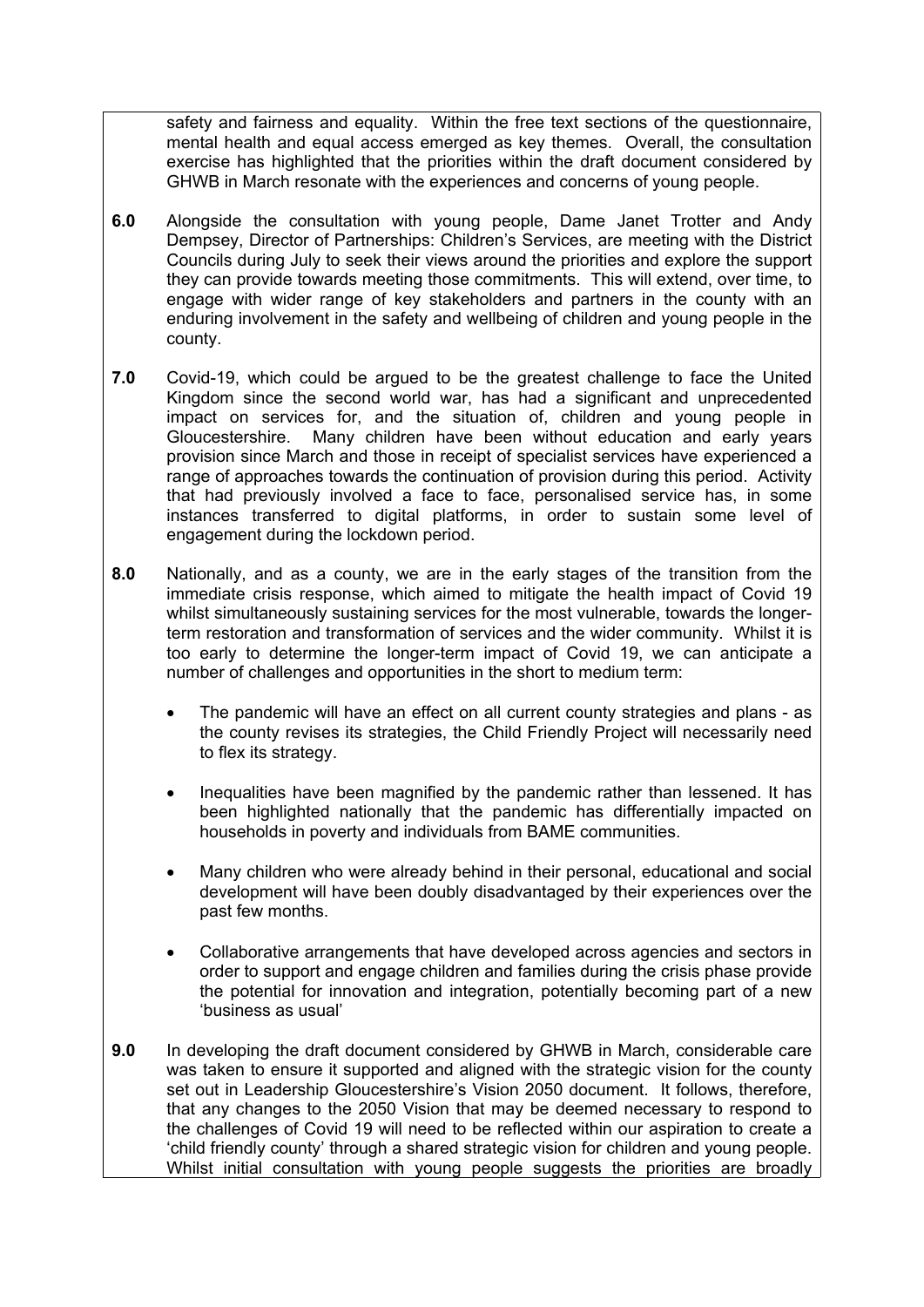safety and fairness and equality. Within the free text sections of the questionnaire, mental health and equal access emerged as key themes. Overall, the consultation exercise has highlighted that the priorities within the draft document considered by GHWB in March resonate with the experiences and concerns of young people.

- **6.0** Alongside the consultation with young people, Dame Janet Trotter and Andy Dempsey, Director of Partnerships: Children's Services, are meeting with the District Councils during July to seek their views around the priorities and explore the support they can provide towards meeting those commitments. This will extend, over time, to engage with wider range of key stakeholders and partners in the county with an enduring involvement in the safety and wellbeing of children and young people in the county.
- **7.0** Covid-19, which could be argued to be the greatest challenge to face the United Kingdom since the second world war, has had a significant and unprecedented impact on services for, and the situation of, children and young people in Gloucestershire. Many children have been without education and early years provision since March and those in receipt of specialist services have experienced a range of approaches towards the continuation of provision during this period. Activity that had previously involved a face to face, personalised service has, in some instances transferred to digital platforms, in order to sustain some level of engagement during the lockdown period.
- **8.0** Nationally, and as a county, we are in the early stages of the transition from the immediate crisis response, which aimed to mitigate the health impact of Covid 19 whilst simultaneously sustaining services for the most vulnerable, towards the longerterm restoration and transformation of services and the wider community. Whilst it is too early to determine the longer-term impact of Covid 19, we can anticipate a number of challenges and opportunities in the short to medium term:
	- The pandemic will have an effect on all current county strategies and plans as the county revises its strategies, the Child Friendly Project will necessarily need to flex its strategy.
	- Inequalities have been magnified by the pandemic rather than lessened. It has been highlighted nationally that the pandemic has differentially impacted on households in poverty and individuals from BAME communities.
	- Many children who were already behind in their personal, educational and social development will have been doubly disadvantaged by their experiences over the past few months.
	- Collaborative arrangements that have developed across agencies and sectors in order to support and engage children and families during the crisis phase provide the potential for innovation and integration, potentially becoming part of a new 'business as usual'
- **9.0** In developing the draft document considered by GHWB in March, considerable care was taken to ensure it supported and aligned with the strategic vision for the county set out in Leadership Gloucestershire's Vision 2050 document. It follows, therefore, that any changes to the 2050 Vision that may be deemed necessary to respond to the challenges of Covid 19 will need to be reflected within our aspiration to create a 'child friendly county' through a shared strategic vision for children and young people. Whilst initial consultation with young people suggests the priorities are broadly